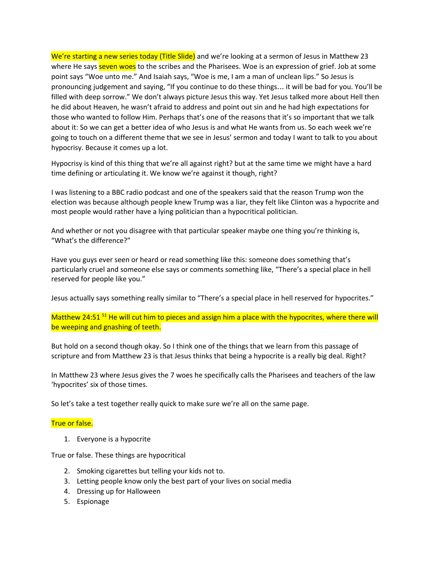We're starting a new series today (Title Slide) and we're looking at a sermon of Jesus in Matthew 23 where He says seven woes to the scribes and the Pharisees. Woe is an expression of grief. Job at some point says "Woe unto me." And Isaiah says, "Woe is me, I am a man of unclean lips." So Jesus is pronouncing judgement and saying, "If you continue to do these things… it will be bad for you. You'll be filled with deep sorrow." We don't always picture Jesus this way. Yet Jesus talked more about Hell then he did about Heaven, he wasn't afraid to address and point out sin and he had high expectations for those who wanted to follow Him. Perhaps that's one of the reasons that it's so important that we talk about it: So we can get a better idea of who Jesus is and what He wants from us. So each week we're going to touch on a different theme that we see in Jesus' sermon and today I want to talk to you about hypocrisy. Because it comes up a lot.

Hypocrisy is kind of this thing that we're all against right? but at the same time we might have a hard time defining or articulating it. We know we're against it though, right?

I was listening to a BBC radio podcast and one of the speakers said that the reason Trump won the election was because although people knew Trump was a liar, they felt like Clinton was a hypocrite and most people would rather have a lying politician than a hypocritical politician.

And whether or not you disagree with that particular speaker maybe one thing you're thinking is, "What's the difference?"

Have you guys ever seen or heard or read something like this: someone does something that's particularly cruel and someone else says or comments something like, "There's a special place in hell reserved for people like you."

Jesus actually says something really similar to "There's a special place in hell reserved for hypocrites."

Matthew 24:51<sup>51</sup> He will cut him to pieces and assign him a place with the hypocrites, where there will be weeping and gnashing of teeth.

But hold on a second though okay. So I think one of the things that we learn from this passage of scripture and from Matthew 23 is that Jesus thinks that being a hypocrite is a really big deal. Right?

In Matthew 23 where Jesus gives the 7 woes he specifically calls the Pharisees and teachers of the law 'hypocrites' six of those times.

So let's take a test together really quick to make sure we're all on the same page.

#### True or false.

1. Everyone is a hypocrite

True or false. These things are hypocritical

- 2. Smoking cigarettes but telling your kids not to.
- 3. Letting people know only the best part of your lives on social media
- 4. Dressing up for Halloween
- 5. Espionage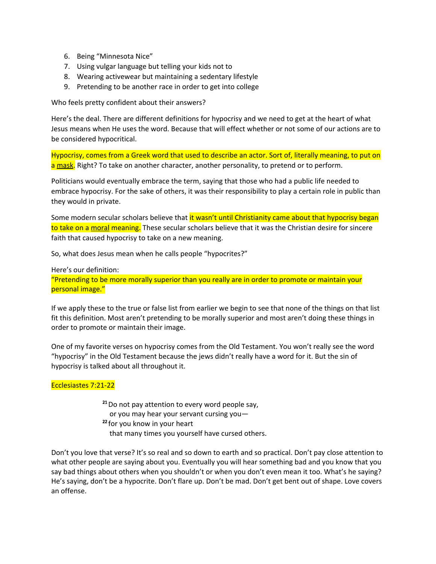- 6. Being "Minnesota Nice"
- 7. Using vulgar language but telling your kids not to
- 8. Wearing activewear but maintaining a sedentary lifestyle
- 9. Pretending to be another race in order to get into college

Who feels pretty confident about their answers?

Here's the deal. There are different definitions for hypocrisy and we need to get at the heart of what Jesus means when He uses the word. Because that will effect whether or not some of our actions are to be considered hypocritical.

Hypocrisy, comes from a Greek word that used to describe an actor. Sort of, literally meaning, to put on a mask. Right? To take on another character, another personality, to pretend or to perform.

Politicians would eventually embrace the term, saying that those who had a public life needed to embrace hypocrisy. For the sake of others, it was their responsibility to play a certain role in public than they would in private.

Some modern secular scholars believe that it wasn't until Christianity came about that hypocrisy began to take on a moral meaning. These secular scholars believe that it was the Christian desire for sincere faith that caused hypocrisy to take on a new meaning.

So, what does Jesus mean when he calls people "hypocrites?"

Here's our definition:

"Pretending to be more morally superior than you really are in order to promote or maintain your personal image."

If we apply these to the true or false list from earlier we begin to see that none of the things on that list fit this definition. Most aren't pretending to be morally superior and most aren't doing these things in order to promote or maintain their image.

One of my favorite verses on hypocrisy comes from the Old Testament. You won't really see the word "hypocrisy" in the Old Testament because the jews didn't really have a word for it. But the sin of hypocrisy is talked about all throughout it.

### Ecclesiastes 7:21-22

- $21$  Do not pay attention to every word people say, or you may hear your servant cursing you—
- <sup>22</sup> for you know in your heart that many times you yourself have cursed others.

Don't you love that verse? It's so real and so down to earth and so practical. Don't pay close attention to what other people are saying about you. Eventually you will hear something bad and you know that you say bad things about others when you shouldn't or when you don't even mean it too. What's he saying? He's saying, don't be a hypocrite. Don't flare up. Don't be mad. Don't get bent out of shape. Love covers an offense.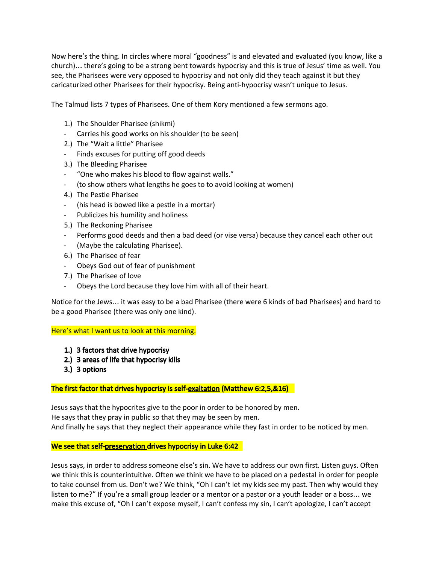Now here's the thing. In circles where moral "goodness" is and elevated and evaluated (you know, like a church)… there's going to be a strong bent towards hypocrisy and this is true of Jesus' time as well. You see, the Pharisees were very opposed to hypocrisy and not only did they teach against it but they caricaturized other Pharisees for their hypocrisy. Being anti-hypocrisy wasn't unique to Jesus.

The Talmud lists 7 types of Pharisees. One of them Kory mentioned a few sermons ago.

- 1.) The Shoulder Pharisee (shikmi)
- Carries his good works on his shoulder (to be seen)
- 2.) The "Wait a little" Pharisee
- Finds excuses for putting off good deeds
- 3.) The Bleeding Pharisee
- "One who makes his blood to flow against walls."
- (to show others what lengths he goes to to avoid looking at women)
- 4.) The Pestle Pharisee
- (his head is bowed like a pestle in a mortar)
- Publicizes his humility and holiness
- 5.) The Reckoning Pharisee
- Performs good deeds and then a bad deed (or vise versa) because they cancel each other out
- (Maybe the calculating Pharisee).
- 6.) The Pharisee of fear
- Obeys God out of fear of punishment
- 7.) The Pharisee of love
- Obeys the Lord because they love him with all of their heart.

Notice for the Jews… it was easy to be a bad Pharisee (there were 6 kinds of bad Pharisees) and hard to be a good Pharisee (there was only one kind).

Here's what I want us to look at this morning.

- 1.) 3 factors that drive hypocrisy
- 2.) 3 areas of life that hypocrisy kills
- 3.) 3 options

The first factor that drives hypocrisy is self-exaltation (Matthew 6:2,5,&16)

Jesus says that the hypocrites give to the poor in order to be honored by men. He says that they pray in public so that they may be seen by men. And finally he says that they neglect their appearance while they fast in order to be noticed by men.

### We see that self-preservation drives hypocrisy in Luke 6:42

Jesus says, in order to address someone else's sin. We have to address our own first. Listen guys. Often we think this is counterintuitive. Often we think we have to be placed on a pedestal in order for people to take counsel from us. Don't we? We think, "Oh I can't let my kids see my past. Then why would they listen to me?" If you're a small group leader or a mentor or a pastor or a youth leader or a boss… we make this excuse of, "Oh I can't expose myself, I can't confess my sin, I can't apologize, I can't accept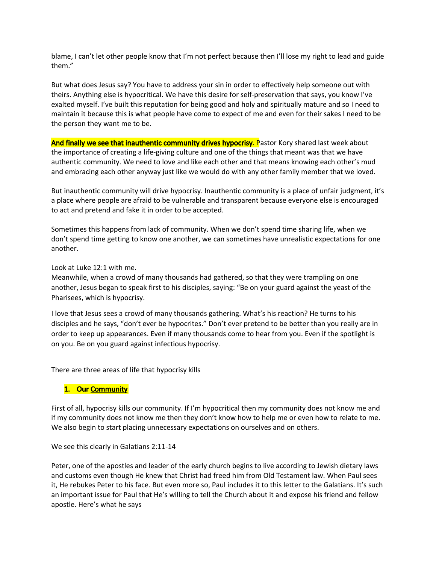blame, I can't let other people know that I'm not perfect because then I'll lose my right to lead and guide them."

But what does Jesus say? You have to address your sin in order to effectively help someone out with theirs. Anything else is hypocritical. We have this desire for self-preservation that says, you know I've exalted myself. I've built this reputation for being good and holy and spiritually mature and so I need to maintain it because this is what people have come to expect of me and even for their sakes I need to be the person they want me to be.

And finally we see that inauthentic community drives hypocrisy. Pastor Kory shared last week about the importance of creating a life-giving culture and one of the things that meant was that we have authentic community. We need to love and like each other and that means knowing each other's mud and embracing each other anyway just like we would do with any other family member that we loved.

But inauthentic community will drive hypocrisy. Inauthentic community is a place of unfair judgment, it's a place where people are afraid to be vulnerable and transparent because everyone else is encouraged to act and pretend and fake it in order to be accepted.

Sometimes this happens from lack of community. When we don't spend time sharing life, when we don't spend time getting to know one another, we can sometimes have unrealistic expectations for one another.

Look at Luke 12:1 with me.

Meanwhile, when a crowd of many thousands had gathered, so that they were trampling on one another, Jesus began to speak first to his disciples, saying: "Be on your guard against the yeast of the Pharisees, which is hypocrisy.

I love that Jesus sees a crowd of many thousands gathering. What's his reaction? He turns to his disciples and he says, "don't ever be hypocrites." Don't ever pretend to be better than you really are in order to keep up appearances. Even if many thousands come to hear from you. Even if the spotlight is on you. Be on you guard against infectious hypocrisy.

There are three areas of life that hypocrisy kills

### 1. Our Community

First of all, hypocrisy kills our community. If I'm hypocritical then my community does not know me and if my community does not know me then they don't know how to help me or even how to relate to me. We also begin to start placing unnecessary expectations on ourselves and on others.

We see this clearly in Galatians 2:11-14

Peter, one of the apostles and leader of the early church begins to live according to Jewish dietary laws and customs even though He knew that Christ had freed him from Old Testament law. When Paul sees it, He rebukes Peter to his face. But even more so, Paul includes it to this letter to the Galatians. It's such an important issue for Paul that He's willing to tell the Church about it and expose his friend and fellow apostle. Here's what he says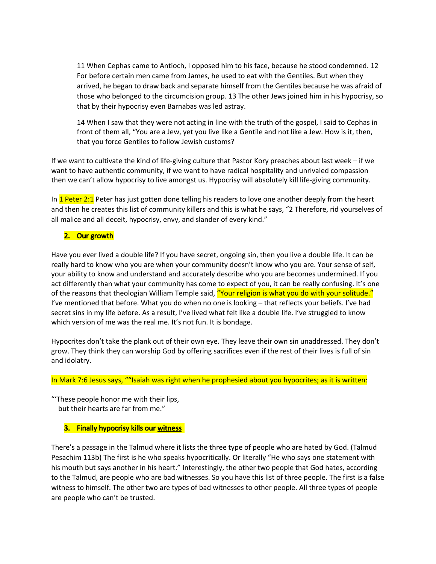11 When Cephas came to Antioch, I opposed him to his face, because he stood condemned. 12 For before certain men came from James, he used to eat with the Gentiles. But when they arrived, he began to draw back and separate himself from the Gentiles because he was afraid of those who belonged to the circumcision group. 13 The other Jews joined him in his hypocrisy, so that by their hypocrisy even Barnabas was led astray.

14 When I saw that they were not acting in line with the truth of the gospel, I said to Cephas in front of them all, "You are a Jew, yet you live like a Gentile and not like a Jew. How is it, then, that you force Gentiles to follow Jewish customs?

If we want to cultivate the kind of life-giving culture that Pastor Kory preaches about last week – if we want to have authentic community, if we want to have radical hospitality and unrivaled compassion then we can't allow hypocrisy to live amongst us. Hypocrisy will absolutely kill life-giving community.

In 1 Peter 2:1 Peter has just gotten done telling his readers to love one another deeply from the heart and then he creates this list of community killers and this is what he says, "2 Therefore, rid yourselves of all malice and all deceit, hypocrisy, envy, and slander of every kind."

## 2. Our growth

Have you ever lived a double life? If you have secret, ongoing sin, then you live a double life. It can be really hard to know who you are when your community doesn't know who you are. Your sense of self, your ability to know and understand and accurately describe who you are becomes undermined. If you act differently than what your community has come to expect of you, it can be really confusing. It's one of the reasons that theologian William Temple said, "Your religion is what you do with your solitude." I've mentioned that before. What you do when no one is looking – that reflects your beliefs. I've had secret sins in my life before. As a result, I've lived what felt like a double life. I've struggled to know which version of me was the real me. It's not fun. It is bondage.

Hypocrites don't take the plank out of their own eye. They leave their own sin unaddressed. They don't grow. They think they can worship God by offering sacrifices even if the rest of their lives is full of sin and idolatry.

In Mark 7:6 Jesus says, ""Isaiah was right when he prophesied about you hypocrites; as it is written:

"'These people honor me with their lips, but their hearts are far from me."

# 3. Finally hypocrisy kills our witness

There's a passage in the Talmud where it lists the three type of people who are hated by God. (Talmud Pesachim 113b) The first is he who speaks hypocritically. Or literally "He who says one statement with his mouth but says another in his heart." Interestingly, the other two people that God hates, according to the Talmud, are people who are bad witnesses. So you have this list of three people. The first is a false witness to himself. The other two are types of bad witnesses to other people. All three types of people are people who can't be trusted.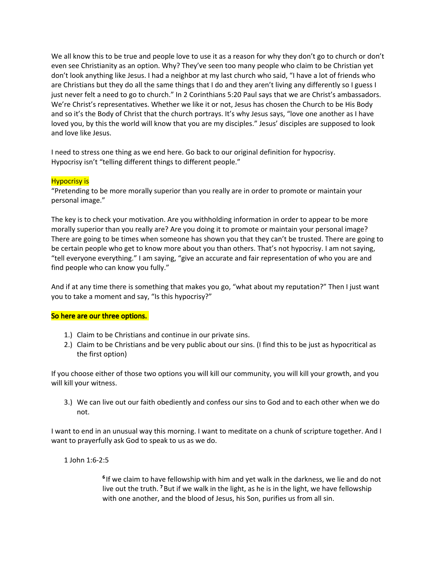We all know this to be true and people love to use it as a reason for why they don't go to church or don't even see Christianity as an option. Why? They've seen too many people who claim to be Christian yet don't look anything like Jesus. I had a neighbor at my last church who said, "I have a lot of friends who are Christians but they do all the same things that I do and they aren't living any differently so I guess I just never felt a need to go to church." In 2 Corinthians 5:20 Paul says that we are Christ's ambassadors. We're Christ's representatives. Whether we like it or not, Jesus has chosen the Church to be His Body and so it's the Body of Christ that the church portrays. It's why Jesus says, "love one another as I have loved you, by this the world will know that you are my disciples." Jesus' disciples are supposed to look and love like Jesus.

I need to stress one thing as we end here. Go back to our original definition for hypocrisy. Hypocrisy isn't "telling different things to different people."

## Hypocrisy is

"Pretending to be more morally superior than you really are in order to promote or maintain your personal image."

The key is to check your motivation. Are you withholding information in order to appear to be more morally superior than you really are? Are you doing it to promote or maintain your personal image? There are going to be times when someone has shown you that they can't be trusted. There are going to be certain people who get to know more about you than others. That's not hypocrisy. I am not saying, "tell everyone everything." I am saying, "give an accurate and fair representation of who you are and find people who can know you fully."

And if at any time there is something that makes you go, "what about my reputation?" Then I just want you to take a moment and say, "Is this hypocrisy?"

### So here are our three options.

- 1.) Claim to be Christians and continue in our private sins.
- 2.) Claim to be Christians and be very public about our sins. (I find this to be just as hypocritical as the first option)

If you choose either of those two options you will kill our community, you will kill your growth, and you will kill your witness.

3.) We can live out our faith obediently and confess our sins to God and to each other when we do not.

I want to end in an unusual way this morning. I want to meditate on a chunk of scripture together. And I want to prayerfully ask God to speak to us as we do.

### 1 John 1:6-2:5

<sup>6</sup> If we claim to have fellowship with him and yet walk in the darkness, we lie and do not live out the truth. <sup>7</sup> But if we walk in the light, as he is in the light, we have fellowship with one another, and the blood of Jesus, his Son, purifies us from all sin.